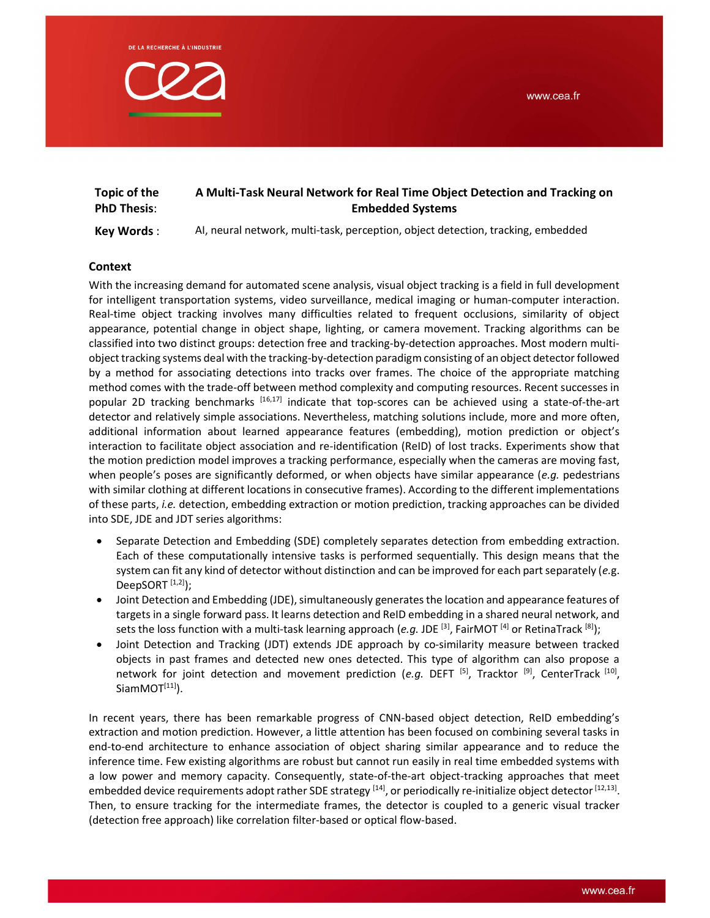

| Topic of the       | A Multi-Task Neural Network for Real Time Object Detection and Tracking on |  |
|--------------------|----------------------------------------------------------------------------|--|
| <b>PhD Thesis:</b> | <b>Embedded Systems</b>                                                    |  |

Key Words : AI, neural network, multi-task, perception, object detection, tracking, embedded

# Context

With the increasing demand for automated scene analysis, visual object tracking is a field in full development for intelligent transportation systems, video surveillance, medical imaging or human-computer interaction. Real-time object tracking involves many difficulties related to frequent occlusions, similarity of object appearance, potential change in object shape, lighting, or camera movement. Tracking algorithms can be classified into two distinct groups: detection free and tracking-by-detection approaches. Most modern multiobject tracking systems deal with the tracking-by-detection paradigm consisting of an object detector followed by a method for associating detections into tracks over frames. The choice of the appropriate matching method comes with the trade-off between method complexity and computing resources. Recent successes in popular 2D tracking benchmarks [16,17] indicate that top-scores can be achieved using a state-of-the-art detector and relatively simple associations. Nevertheless, matching solutions include, more and more often, additional information about learned appearance features (embedding), motion prediction or object's interaction to facilitate object association and re-identification (ReID) of lost tracks. Experiments show that the motion prediction model improves a tracking performance, especially when the cameras are moving fast, when people's poses are significantly deformed, or when objects have similar appearance (e.g. pedestrians with similar clothing at different locations in consecutive frames). According to the different implementations of these parts, i.e. detection, embedding extraction or motion prediction, tracking approaches can be divided into SDE, JDE and JDT series algorithms:

- Separate Detection and Embedding (SDE) completely separates detection from embedding extraction. Each of these computationally intensive tasks is performed sequentially. This design means that the system can fit any kind of detector without distinction and can be improved for each part separately (e.g. DeepSORT $[1,2]$ );
- Joint Detection and Embedding (JDE), simultaneously generates the location and appearance features of targets in a single forward pass. It learns detection and ReID embedding in a shared neural network, and sets the loss function with a multi-task learning approach (e.g. JDE  $^{[3]}$ , FairMOT  $^{[4]}$  or RetinaTrack  $^{[8]}$ );
- Joint Detection and Tracking (JDT) extends JDE approach by co-similarity measure between tracked objects in past frames and detected new ones detected. This type of algorithm can also propose a network for joint detection and movement prediction (e.g. DEFT <sup>[5]</sup>, Tracktor <sup>[9]</sup>, CenterTrack <sup>[10]</sup>,  $SiamMOT<sup>[11]</sup>$ ).

In recent years, there has been remarkable progress of CNN-based object detection, ReID embedding's extraction and motion prediction. However, a little attention has been focused on combining several tasks in end-to-end architecture to enhance association of object sharing similar appearance and to reduce the inference time. Few existing algorithms are robust but cannot run easily in real time embedded systems with a low power and memory capacity. Consequently, state-of-the-art object-tracking approaches that meet embedded device requirements adopt rather SDE strategy <sup>[14]</sup>, or periodically re-initialize object detector <sup>[12,13]</sup>. Then, to ensure tracking for the intermediate frames, the detector is coupled to a generic visual tracker (detection free approach) like correlation filter-based or optical flow-based.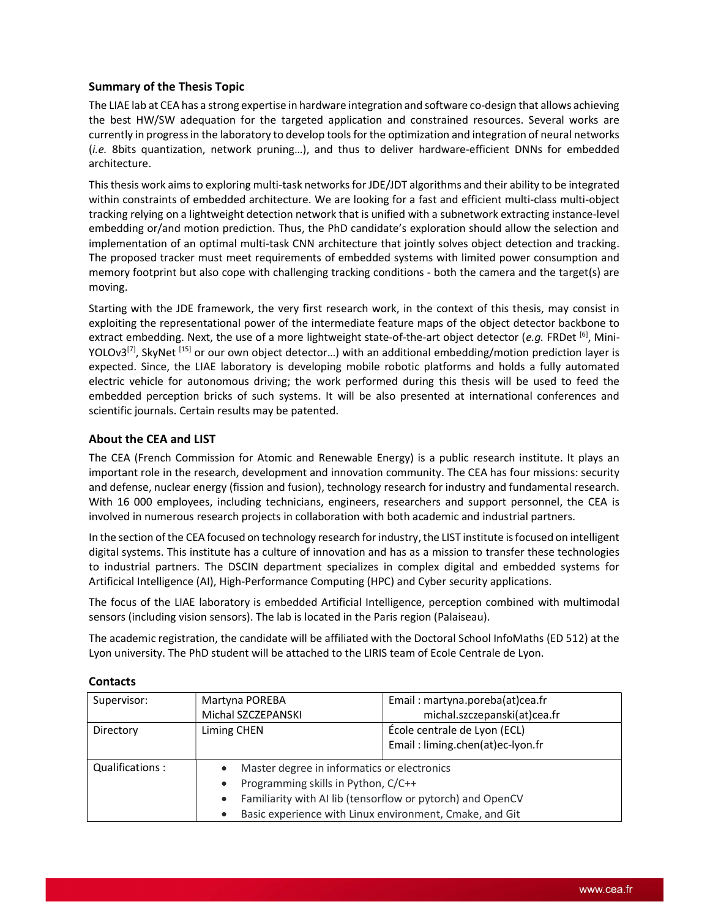# Summary of the Thesis Topic

The LIAE lab at CEA has a strong expertise in hardware integration and software co-design that allows achieving the best HW/SW adequation for the targeted application and constrained resources. Several works are currently in progress in the laboratory to develop tools for the optimization and integration of neural networks (i.e. 8bits quantization, network pruning…), and thus to deliver hardware-efficient DNNs for embedded architecture.

This thesis work aims to exploring multi-task networks for JDE/JDT algorithms and their ability to be integrated within constraints of embedded architecture. We are looking for a fast and efficient multi-class multi-object tracking relying on a lightweight detection network that is unified with a subnetwork extracting instance-level embedding or/and motion prediction. Thus, the PhD candidate's exploration should allow the selection and implementation of an optimal multi-task CNN architecture that jointly solves object detection and tracking. The proposed tracker must meet requirements of embedded systems with limited power consumption and memory footprint but also cope with challenging tracking conditions - both the camera and the target(s) are moving.

Starting with the JDE framework, the very first research work, in the context of this thesis, may consist in exploiting the representational power of the intermediate feature maps of the object detector backbone to extract embedding. Next, the use of a more lightweight state-of-the-art object detector (e.g. FRDet  $[6]$ , Mini-YOLOv3<sup>[7]</sup>, SkyNet<sup>[15]</sup> or our own object detector...) with an additional embedding/motion prediction layer is expected. Since, the LIAE laboratory is developing mobile robotic platforms and holds a fully automated electric vehicle for autonomous driving; the work performed during this thesis will be used to feed the embedded perception bricks of such systems. It will be also presented at international conferences and scientific journals. Certain results may be patented.

## About the CEA and LIST

The CEA (French Commission for Atomic and Renewable Energy) is a public research institute. It plays an important role in the research, development and innovation community. The CEA has four missions: security and defense, nuclear energy (fission and fusion), technology research for industry and fundamental research. With 16 000 employees, including technicians, engineers, researchers and support personnel, the CEA is involved in numerous research projects in collaboration with both academic and industrial partners.

In the section of the CEA focused on technology research for industry, the LIST institute is focused on intelligent digital systems. This institute has a culture of innovation and has as a mission to transfer these technologies to industrial partners. The DSCIN department specializes in complex digital and embedded systems for Artificical Intelligence (AI), High-Performance Computing (HPC) and Cyber security applications.

The focus of the LIAE laboratory is embedded Artificial Intelligence, perception combined with multimodal sensors (including vision sensors). The lab is located in the Paris region (Palaiseau).

The academic registration, the candidate will be affiliated with the Doctoral School InfoMaths (ED 512) at the Lyon university. The PhD student will be attached to the LIRIS team of Ecole Centrale de Lyon.

| Supervisor:     | Martyna POREBA                                          | Email: martyna.poreba(at)cea.fr                            |
|-----------------|---------------------------------------------------------|------------------------------------------------------------|
|                 | Michal SZCZEPANSKI                                      | michal.szczepanski(at)cea.fr                               |
| Directory       | Liming CHEN                                             | École centrale de Lyon (ECL)                               |
|                 |                                                         | Email: liming.chen(at)ec-lyon.fr                           |
| Qualifications: | Master degree in informatics or electronics             |                                                            |
|                 | Programming skills in Python, C/C++                     |                                                            |
|                 |                                                         | Familiarity with AI lib (tensorflow or pytorch) and OpenCV |
|                 | Basic experience with Linux environment, Cmake, and Git |                                                            |

#### **Contacts**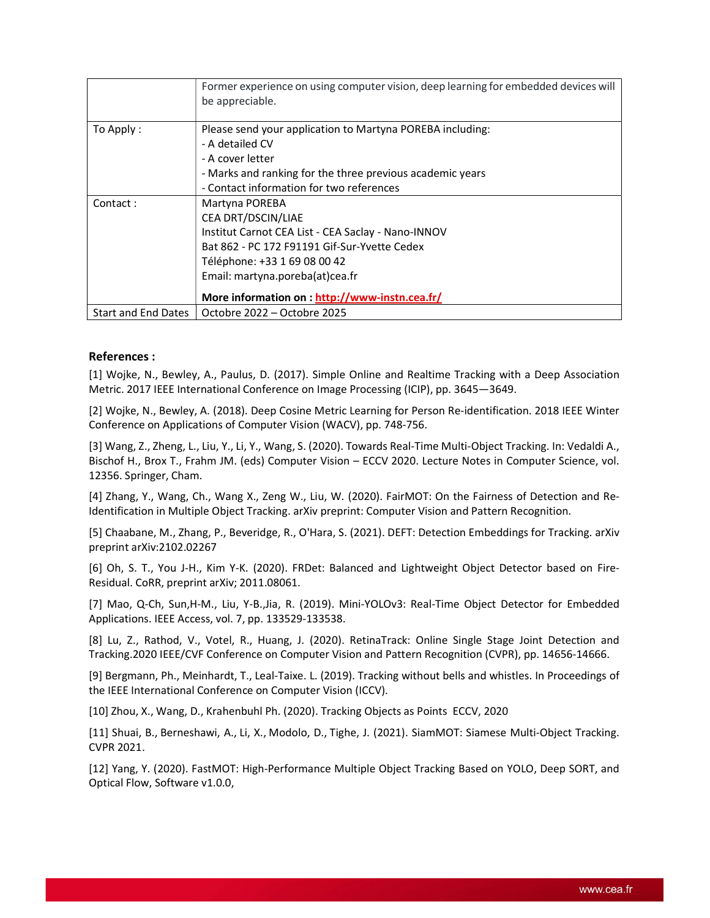|                     | Former experience on using computer vision, deep learning for embedded devices will<br>be appreciable.                                                                                                                                                          |  |
|---------------------|-----------------------------------------------------------------------------------------------------------------------------------------------------------------------------------------------------------------------------------------------------------------|--|
| To Apply:           | Please send your application to Martyna POREBA including:<br>- A detailed CV<br>- A cover letter<br>- Marks and ranking for the three previous academic years<br>- Contact information for two references                                                       |  |
| Contact:            | Martyna POREBA<br>CEA DRT/DSCIN/LIAE<br>Institut Carnot CEA List - CEA Saclay - Nano-INNOV<br>Bat 862 - PC 172 F91191 Gif-Sur-Yvette Cedex<br>Téléphone: +33 1 69 08 00 42<br>Email: martyna.poreba(at)cea.fr<br>More information on : http://www-instn.cea.fr/ |  |
| Start and End Dates | Octobre 2022 – Octobre 2025                                                                                                                                                                                                                                     |  |

# References :

[1] Wojke, N., Bewley, A., Paulus, D. (2017). Simple Online and Realtime Tracking with a Deep Association Metric. 2017 IEEE International Conference on Image Processing (ICIP), pp. 3645—3649.

[2] Wojke, N., Bewley, A. (2018). Deep Cosine Metric Learning for Person Re-identification. 2018 IEEE Winter Conference on Applications of Computer Vision (WACV), pp. 748-756.

[3] Wang, Z., Zheng, L., Liu, Y., Li, Y., Wang, S. (2020). Towards Real-Time Multi-Object Tracking. In: Vedaldi A., Bischof H., Brox T., Frahm JM. (eds) Computer Vision – ECCV 2020. Lecture Notes in Computer Science, vol. 12356. Springer, Cham.

[4] Zhang, Y., Wang, Ch., Wang X., Zeng W., Liu, W. (2020). FairMOT: On the Fairness of Detection and Re-Identification in Multiple Object Tracking. arXiv preprint: Computer Vision and Pattern Recognition.

[5] Chaabane, M., Zhang, P., Beveridge, R., O'Hara, S. (2021). DEFT: Detection Embeddings for Tracking. arXiv preprint arXiv:2102.02267

[6] Oh, S. T., You J-H., Kim Y-K. (2020). FRDet: Balanced and Lightweight Object Detector based on Fire-Residual. CoRR, preprint arXiv; 2011.08061.

[7] Mao, Q-Ch, Sun,H-M., Liu, Y-B.,Jia, R. (2019). Mini-YOLOv3: Real-Time Object Detector for Embedded Applications. IEEE Access, vol. 7, pp. 133529-133538.

[8] Lu, Z., Rathod, V., Votel, R., Huang, J. (2020). RetinaTrack: Online Single Stage Joint Detection and Tracking.2020 IEEE/CVF Conference on Computer Vision and Pattern Recognition (CVPR), pp. 14656-14666.

[9] Bergmann, Ph., Meinhardt, T., Leal-Taixe. L. (2019). Tracking without bells and whistles. In Proceedings of the IEEE International Conference on Computer Vision (ICCV).

[10] Zhou, X., Wang, D., Krahenbuhl Ph. (2020). Tracking Objects as Points ECCV, 2020

[11] Shuai, B., Berneshawi, A., Li, X., Modolo, D., Tighe, J. (2021). SiamMOT: Siamese Multi-Object Tracking. CVPR 2021.

[12] Yang, Y. (2020). FastMOT: High-Performance Multiple Object Tracking Based on YOLO, Deep SORT, and Optical Flow, Software v1.0.0,